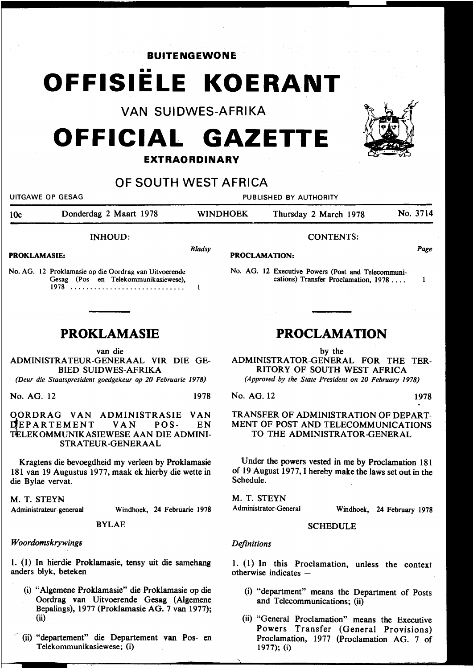**BUITENGEWONE** 

# •• **OFFISIELE KOERANT**

VAN SUIDWES-AFRIKA

# **OFFICIAL GAZETTE**

### **EXTRAORDINARY**

## OF SOUTH WEST AFRICA

*Bladsy* 

 $\mathbf{1}$ 

UITGAWE OP GESAG PUBLISHED BY AUTHORITY

PROCLAMATION:

10c Donderdag 2 Maart 1978 WINDHOEK Thursday 2 March 1978 No. 3714

#### INHOUD:

PROKLAMASIE:

No. AG. 12 Proklamasie op die Oordrag van Uitvoerende Gesag (Pos- en Telekommunikasiewese), 1978 ............................ .

## **PROKLAMASIE**

van die

ADMINISTRATEUR-GENERAAL VIR DIE GE-BIED SUIDWES-AFRIKA

*(Deur die Staatspresident goedgekeur op 20 Februarie 1978)* 

No. AG. 12 1978

OORDRAG VAN ADMINISTRASIE VAN UEPAR TEMENT VAN POS- EN T£LEKOMMUNIKASIEWESE AAN DIE ADMINI-STRATEUR-GENERAAL

Kragtens die bevoegdheid my verleen by Proklamasie 181 van 19 Augustus 1977, maak ek hierby die wette in die Bylae vervat.

M. T. STEYN Administrateur-generaal

Windhoek, 24 Februarie 1978

BYLAE

#### *Woordomskrywings*

1. (1) In hierdie Proklamasie, tensy uit die samehang anders blyk, beteken  $-$ 

- (i) "Algemene Proklamasie" die Proklamasie op die Oordrag van Uitvoerende Gesag (Algemene Bepalings), 1977 (Proklamasie AG. 7 van 1977); (ii)
- (ii) "departement" die Departement van Pos- en Telekommunikasiewese; (i)

# **PROCLAMATION**

CONTENTS:

cations) Transfer Proclamation, 1978 ....

No. AG. 12 Executive Powers (Post and Telecommuni-

by the ADMINISTRATOR-GENERAL FOR THE TER-RITORY OF SOUTH WEST AFRICA *(Approved by the State President on 20 February 1978)* 

#### No. AG. 12 1978

TRANSFER OF ADMINISTRATION OF DEPART-MENT OF POST AND TELECOMMUNICATIONS TO THE ADMINISTRATOR-GENERAL

Under the powers vested in me by Proclamation 181 of 19 August 1977, I hereby make the laws set out in the Schedule.

M. T. STEYN Administrator-General Windhoek, 24 February 1978

SCHEDULE

#### *Definitions*

1. (1) In this Proclamation, unless the context otherwise indicates  $-$ 

- (i) "department" means the Department of Posts and Telecommunications; (ii)
- (ii) "General Proclamation" means the Executive Powers Transfer (General Provisions) Proclamation, 1977 (Proclamation AG. 7 of 1977); (i)



*Page* 

 $\mathbf{1}$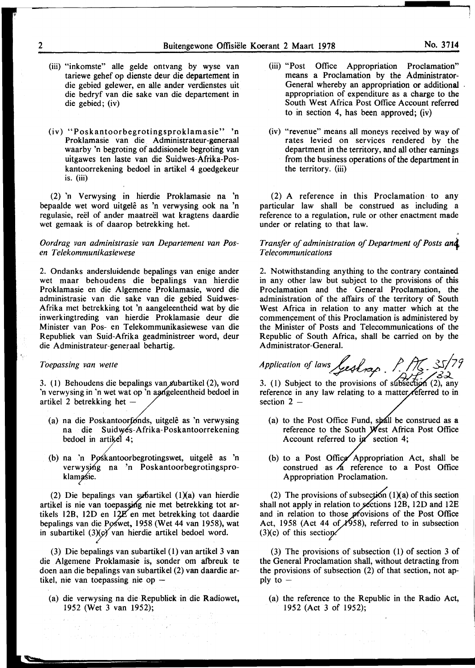- (iii) "inkomste" aile gelde ontvang by wyse van tariewe gehef op dienste deur die departement in die gebied gelewer, en aile ander verdienstes uit die bedryf van die sake van die departement in die gebied; (iv)
- (iv) "Poskantoorbegrotingsproklamasie" 'n Proklamasie van die Administrateur-generaal waarby 'n begroting of addisionele begroting van uitgawes ten laste van die Suidwes-Afrika-Poskantoorrekening bedoel in artikel 4 goedgekeur is. (iii)

(2) 'n Verwysing in hierdie Proklamasie na 'n bepaalde wet word uitgelê as 'n verwysing ook na 'n regulasie, reel of ander maatreel wat kragtens daardie wet gemaak is of daarop betrekking het.

#### *Oordrag van administrasie van Departement van Posen Telekommunikasiewese*

2. Ondanks andersluidende bepalings van enige ander wet maar behoudens die bepalings van hierdie Proklamasie en die Algemene Proklamasie, word die administrasie van die sake van die gebied Suidwes-Afrika met betrekking tot 'n aangeleentheid wat by die inwerkingtreding van hierdie Proklamasie deur die Minister van Pos- en Telekommunikasiewese van die Republiek van Suid-Afrika geadministreer word, deur die Administrateur-generaal behartig.

#### *Toepassing van wette*

3. (1) Behoudens die bepalings van subartikel (2), word 'n verwysing in 'n wet wat op 'n a¢geleentheid bedoel in artikel 2 betrekking het  $-$ 

- (a) na die Poskantoorfonds, uitgelê as 'n verwysing na die Suidwes-Afrika-Poskantoorrekening bedoel in artikel  $4$ ;
- (b) na 'n Poskantoorbegrotingswet, uitgelê as 'n verwysing na 'n Poskantoorbegrotingsproklamasie.

(2) Die bepalings van subartikel  $(1)(a)$  van hierdie artikel is nie van toepassing nie met betrekking tot artikels 12B, 12D en 12 $E'$  en met betrekking tot daardie bepalings van die Poswet, 1958 (Wet 44 van 1958), wat in subartikel  $(3)(x)$  van hierdie artikel bedoel word.

(3) Die bepalings van subartikel (1) van artikel 3 van die Algemene Proklamasie is, sonder om afbreuk te doen aan die bepalings van subartikel (2) van daardie artikel, nie van toepassing nie op  $-$ 

(a) die verwysing na die Republiek in die Radiowet, 1952 (Wet 3 van 1952);

an<br>1992 - Annie Alexandria II (b. 1

- (iii) "Post Office Appropriation Proclamation" means a Proclamation by the Administrator-General whereby an appropriation or additional appropriation of expenditure as a charge to the South West Africa Post Office Account referred to in section 4, has been approved; (iv)
- (iv) "revenue" means all moneys received by way of rates levied on services rendered by the department in the territory, and all other earnings from the business operations of the department in the territory. (iii)

(2) A reference in this Proclamation· to any particular law shall be construed as including a reference to a regulation, rule or other enactment made under or relating to that law.

#### *Transfer of administration of Department of Posts an4 Telecommunications*

2. Notwithstanding anything to the contrary contained in any other law but subject to the provisions of this Proclamation and the General Proclamation, the administration of the affairs of the territory of South West Africa in relation to any matter which at the commencement of this Proclamation is administered by the Minister of Posts and Telecommunications of the Republic of South Africa, shall be carried on by the Administrator-General.

*Application of laws <u>Lesl</u> , P. M. 35/79* 

3. (1) Subject to the provisions of subsection (2), any reference in any law relating to a matter eferred to in section  $2 -$ 

- (a) to the Post Office Fund, shall be construed as a reference to the South West Africa Post Office Account referred to i
- (b) to a Post Office Appropriation Act, shall be construed as  $\angle a$  reference to a Post Office Appropriation Proclamation.

(2) The provisions of subsection  $(1)(a)$  of this section shall not apply in relation to sections 12B, 12D and 12E and in relation to those provisions of the Post Office Act, 1958 (Act 44 of  $\cancel{1958}$ ), referred to in subsection  $(3)(c)$  of this section.

(3) The provisions of subsection (I) of section 3 of the General Proclamation shall, without detracting from the provisions of subsection (2) of that section, not apply to  $-$ 

(a) the reference to the Republic in the Radio Act, 1952 (Act 3 of 1952);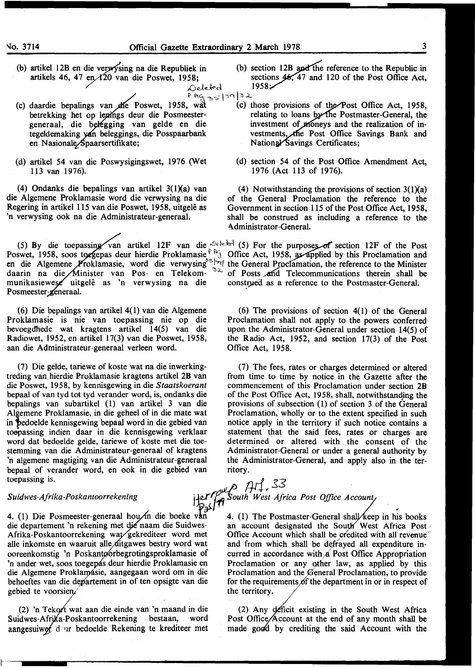- ,O(')~d 1958~
- (c) daardie bepalings van die Poswet, 1958, wat (c) those provisions of the Post Office Act, 1958, betrekking het op lengings deur die Posmeester-<br>relating to loans by the Postmaster-General, the generaal, die belegging van gelde en die tegeldemaking van beleggings, die Posspaarbank en Nasionale Spaarsertifikate;
- (d) artikel 54 van die Poswysigingswet, 1976 (Wet 113 van 1976).

(4) Ondanks die bepalings van artikel  $3(1)(a)$  van die Algemene Proklamasie word die verwysing na die Regering in artikel 115 van die Poswet, 1958, uitgelê as 'n verwysing ook na die Administrateur-generaal.

(5) By die toepassing van artikel 12F van die <sup>Oclebra</sup> (5) For the purposes of section 12F of the Post Poswet, 1958, soos toegepas deur hierdie Proklamasie of the Office Act, 1958, as applied by this Proclamation and Poswet, 1958, soos to egepas deur hierdie Proklamasie <sup>P + e</sup> Office Act, 1958, applied by this Proclamation and en die Algemene Proklamasie, word die verwysing<sup>slert</sup>/ the General Proclamation, the reference to the Minister daarin na die Minister van Pos- en Telekom- <sup>32</sup> of Posts and Telecommunications therein shall be munikasiewese uitgelê as 'n verwysing na die construed as a reference to the Postmaster-General. Posmeester-generaal.

( 6) Die bepalings van artikel 4( 1) van die Algemene Proklamasie is nie van toepassing nie op die bevoegdhede wat kragtens artikel 14(5) van die Radiowet, 1952, en artikel 17(3) van die Poswet, 1958, aan die Administrateur-generaal verleen word.

(7) Die gelde, tariewe of koste wat na die inwerking- (7) The fees, rates or charges determined or altered treding van hierdie Proklamasie kragtens artikel 2B van from time to time by notice in the Gazette after the die Poswet, 1958, by kennisgewing in die *Staatskoerant* commencement of this Proclamation under section 2B bepaal of van tyd tot tyd verander word, is, ondanks die of the Post Office Act, 1958, shall, notwithstanding the bepalings van subartikel (1) van artikel 3 van die provisions of subsection (1) of section 3 of the General Aljemene Proklamasie, in die geheel of in die mate wat Proclamation, wholly or to the extent specified in such in 'Pedoelde kennisgewing bepaal word in die gebied van notice apply in the territory if such notice contains a toepassing indien daar in die kennisgewing verklaar statement that the said fees, rates or charges are word dat bedoelde gelde, tariewe of koste met die toe- determined or altered with the consent of the stemming van die Administrateur-generaal of kragtens Administrator-General or under a general authority by 'n algemene magtiging van die Administrateur-generaal the Administrator-General, and apply also in the terbepaal of verander word, en ook in die gebied van ritory.  $\lim_{\epsilon \to 0}$  is.  $\lim_{\epsilon \to 0}$   $\lim_{\epsilon \to 0}$   $\lim_{\epsilon \to 0}$  33

4. (1) Die Posmeester-generaal hou in die boeke van die 4. (1) The Postmaster-General shall keep in his books die departement 'n rekening met die naam die Suidwes- an account designated the South West Africa Post Afrika-Poskantoorrekening wat/gekrediteer word met Office Account which shall be credited with all revenue alle inkomste en waaruit alle ditgawes bestry word wat and from which shall be defrayed all expenditure inooreenkomstig 'n Poskantgorbegrotingsproklamasie of curred in accordance with a Post Office Appropriation 'n ander wet, soos toegepas deur hierdie Proklamasie en Proclamation or any other law, as applied by this die Algemene Proklamásie, aangegaan word om in die Proclamation and the General Proclamation, to provide behoeftes van die departement in of ten opsigte van die for the requirements of the department in or in respect of gebied te voorsien. **the territory** the territory.

(2) 'n Tekqft wat aan die einde van 'n maand in die Suidwes-Afrika-Poskantoorrekening bestaan, word aangesuiwet dour bedoelde Rekening te krediteer met

- (b) artikel 12B en die verwysing na die Republiek in (b) section 12B and the reference to the Republic in artikels 46, 47 en  $\chi$  120 van die Poswet, 1958; sections  $46$ , 47 and 120 of the Post Office Act, 1958;
	-
	- $\frac{8.86}{10^{35}}$   $\frac{100}{32}$  (c) those provisions of the Post Office Act, 1958, betrekking het op le ings deur die Posmeester-<br>generaal, die belegging van gelde en die investment of moneys and the realization of investments, the Post Office Savings Bank and National Savings Certificates;
		- (d) section 54 of the Post Office Amendment Act, 1976 (Act 113 of 1976).

(4) Notwithstanding the provisions of section  $3(1)(a)$ of the General Proclamation the reference to the Government in section 115 of the Post Office Act, 1958, shall be construed as including a reference to the Administrator-General.

 $(6)$  The provisions of section  $4(1)$  of the General Proclamation shall not apply to the powers conferred upon the Administrator-General under section 14(5) of the Radio Act, 1952, and section 17(3) of the Post Office Act, 1958.

from time to time by notice in the Gazette after the provisions of subsection (1) of section 3 of the General

*Suidwes-Afrika-Poskantoorrekening* ~,\_rfJ{r:;-fouth *West Africa Post Office Acc:zunt* . *:;.* .,

an account designated the South West Africa Post

(2) Any  $d$ eficit existing in the South West Africa Post Office/Account at the end of any month shall be made good by crediting the said Account with the